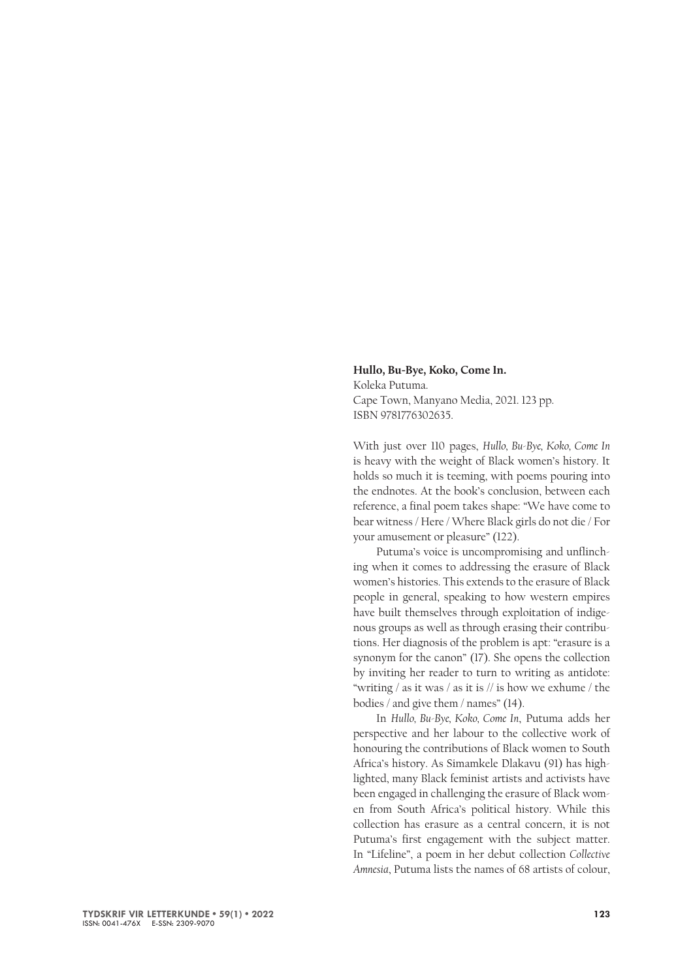## **Hullo, Bu-Bye, Koko, Come In.** Koleka Putuma. Cape Town, Manyano Media, 2021. 123 pp. ISBN 9781776302635.

With just over 110 pages, *Hullo, Bu-Bye, Koko, Come In* is heavy with the weight of Black women's history. It holds so much it is teeming, with poems pouring into the endnotes. At the book's conclusion, between each reference, a final poem takes shape: "We have come to bear witness / Here / Where Black girls do not die / For your amusement or pleasure" (122).

Putuma's voice is uncompromising and unflinching when it comes to addressing the erasure of Black women's histories. This extends to the erasure of Black people in general, speaking to how western empires have built themselves through exploitation of indigenous groups as well as through erasing their contributions. Her diagnosis of the problem is apt: "erasure is a synonym for the canon" (17). She opens the collection by inviting her reader to turn to writing as antidote: "writing / as it was / as it is // is how we exhume / the bodies / and give them / names" (14).

In *Hullo, Bu-Bye, Koko, Come In*, Putuma adds her perspective and her labour to the collective work of honouring the contributions of Black women to South Africa's history. As Simamkele Dlakavu (91) has highlighted, many Black feminist artists and activists have been engaged in challenging the erasure of Black women from South Africa's political history. While this collection has erasure as a central concern, it is not Putuma's first engagement with the subject matter. In "Lifeline", a poem in her debut collection *Collective Amnesia*, Putuma lists the names of 68 artists of colour,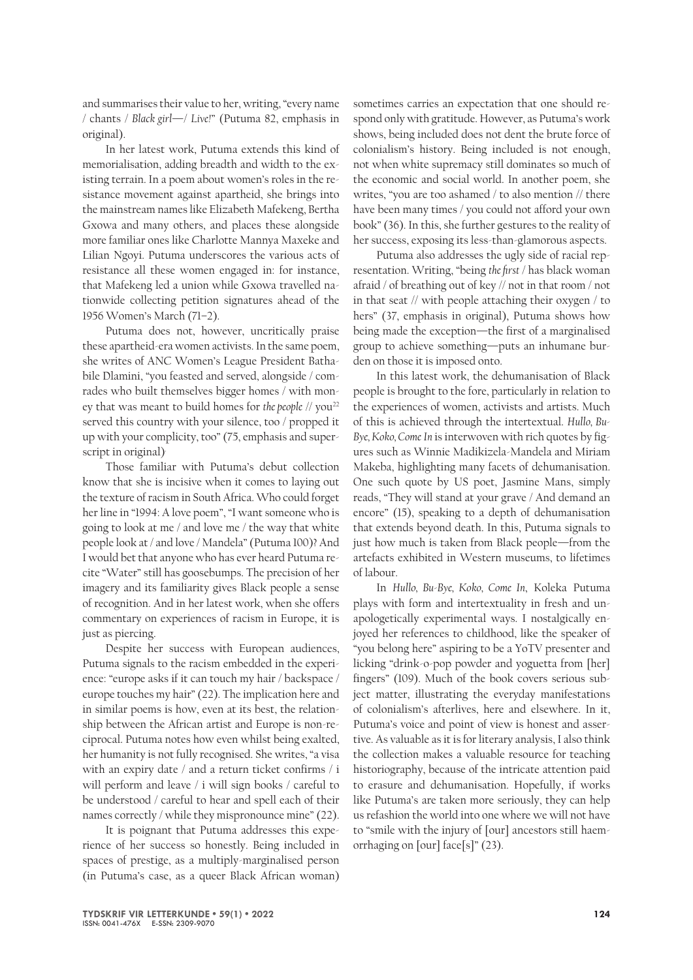and summarises their value to her, writing, "every name / chants / *Black girl*—/ *Live!*" (Putuma 82, emphasis in original).

In her latest work, Putuma extends this kind of memorialisation, adding breadth and width to the existing terrain. In a poem about women's roles in the resistance movement against apartheid, she brings into the mainstream names like Elizabeth Mafekeng, Bertha Gxowa and many others, and places these alongside more familiar ones like Charlotte Mannya Maxeke and Lilian Ngoyi. Putuma underscores the various acts of resistance all these women engaged in: for instance, that Mafekeng led a union while Gxowa travelled nationwide collecting petition signatures ahead of the 1956 Women's March (71–2).

Putuma does not, however, uncritically praise these apartheid-era women activists. In the same poem, she writes of ANC Women's League President Bathabile Dlamini, "you feasted and served, alongside / comrades who built themselves bigger homes / with money that was meant to build homes for *the people* // you<sup>22</sup> served this country with your silence, too / propped it up with your complicity, too" (75, emphasis and superscript in original).

Those familiar with Putuma's debut collection know that she is incisive when it comes to laying out the texture of racism in South Africa. Who could forget her line in "1994: A love poem", "I want someone who is going to look at me / and love me / the way that white people look at / and love / Mandela" (Putuma 100)? And I would bet that anyone who has ever heard Putuma recite "Water" still has goosebumps. The precision of her imagery and its familiarity gives Black people a sense of recognition. And in her latest work, when she offers commentary on experiences of racism in Europe, it is just as piercing.

Despite her success with European audiences, Putuma signals to the racism embedded in the experience: "europe asks if it can touch my hair / backspace / europe touches my hair" (22). The implication here and in similar poems is how, even at its best, the relationship between the African artist and Europe is non-reciprocal. Putuma notes how even whilst being exalted, her humanity is not fully recognised. She writes, "a visa with an expiry date / and a return ticket confirms / i will perform and leave / i will sign books / careful to be understood / careful to hear and spell each of their names correctly / while they mispronounce mine" (22).

It is poignant that Putuma addresses this experience of her success so honestly. Being included in spaces of prestige, as a multiply-marginalised person (in Putuma's case, as a queer Black African woman)

sometimes carries an expectation that one should respond only with gratitude. However, as Putuma's work shows, being included does not dent the brute force of colonialism's history. Being included is not enough, not when white supremacy still dominates so much of the economic and social world. In another poem, she writes, "you are too ashamed / to also mention // there have been many times / you could not afford your own book" (36). In this, she further gestures to the reality of her success, exposing its less-than-glamorous aspects.

Putuma also addresses the ugly side of racial representation. Writing, "being *the first* / has black woman afraid / of breathing out of key // not in that room / not in that seat // with people attaching their oxygen / to hers" (37, emphasis in original), Putuma shows how being made the exception—the first of a marginalised group to achieve something—puts an inhumane burden on those it is imposed onto.

In this latest work, the dehumanisation of Black people is brought to the fore, particularly in relation to the experiences of women, activists and artists. Much of this is achieved through the intertextual. *Hullo, Bu-Bye, Koko, Come In* is interwoven with rich quotes by figures such as Winnie Madikizela-Mandela and Miriam Makeba, highlighting many facets of dehumanisation. One such quote by US poet, Jasmine Mans, simply reads, "They will stand at your grave / And demand an encore" (15), speaking to a depth of dehumanisation that extends beyond death. In this, Putuma signals to just how much is taken from Black people—from the artefacts exhibited in Western museums, to lifetimes of labour.

In *Hullo, Bu-Bye, Koko, Come In*, Koleka Putuma plays with form and intertextuality in fresh and unapologetically experimental ways. I nostalgically enjoyed her references to childhood, like the speaker of "you belong here" aspiring to be a YoTV presenter and licking "drink-o-pop powder and yoguetta from [her] fingers" (109). Much of the book covers serious subject matter, illustrating the everyday manifestations of colonialism's afterlives, here and elsewhere. In it, Putuma's voice and point of view is honest and assertive. As valuable as it is for literary analysis, I also think the collection makes a valuable resource for teaching historiography, because of the intricate attention paid to erasure and dehumanisation. Hopefully, if works like Putuma's are taken more seriously, they can help us refashion the world into one where we will not have to "smile with the injury of [our] ancestors still haemorrhaging on [our] face[s]" (23).